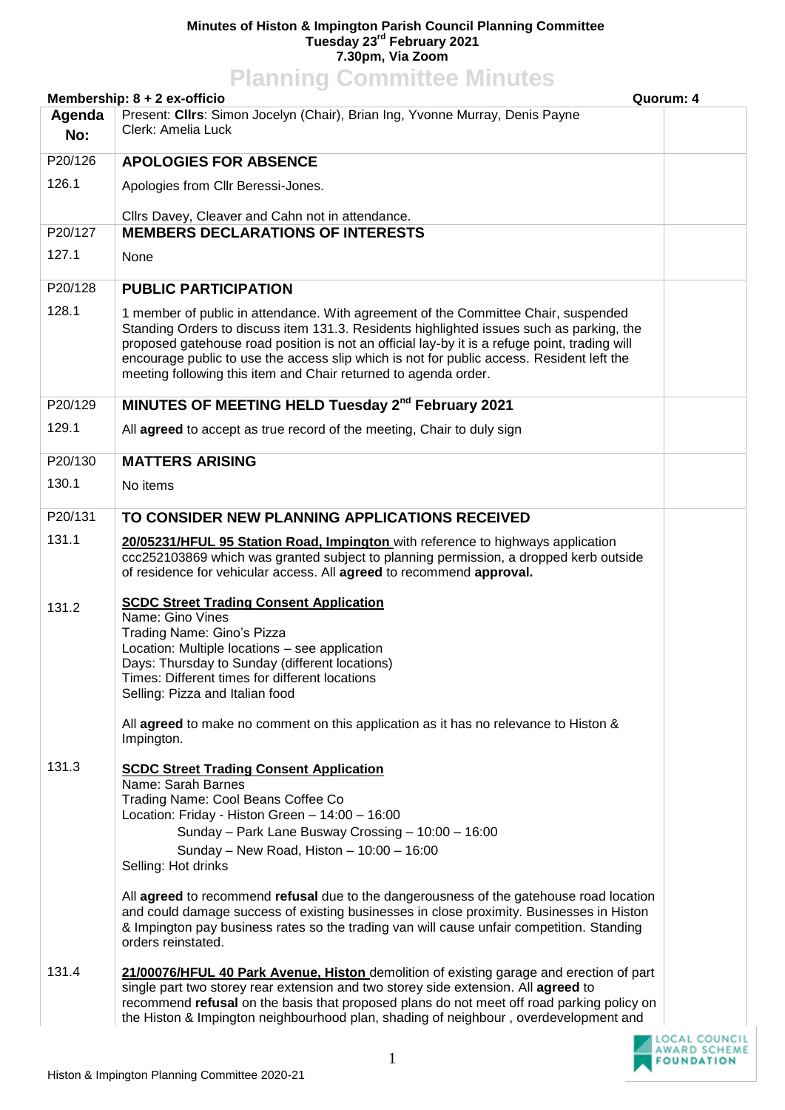## **Minutes of Histon & Impington Parish Council Planning Committee Tuesday 23rd February 2021 7.30pm, Via Zoom**

| <b>Planning Committee Minutes</b>         |                                                                                                                                                                                                                                                                                                                                                                                                                                                 |  |  |
|-------------------------------------------|-------------------------------------------------------------------------------------------------------------------------------------------------------------------------------------------------------------------------------------------------------------------------------------------------------------------------------------------------------------------------------------------------------------------------------------------------|--|--|
| Membership: 8 + 2 ex-officio<br>Quorum: 4 |                                                                                                                                                                                                                                                                                                                                                                                                                                                 |  |  |
| Agenda<br>No:                             | Present: Clirs: Simon Jocelyn (Chair), Brian Ing, Yvonne Murray, Denis Payne<br>Clerk: Amelia Luck                                                                                                                                                                                                                                                                                                                                              |  |  |
| P20/126                                   | <b>APOLOGIES FOR ABSENCE</b>                                                                                                                                                                                                                                                                                                                                                                                                                    |  |  |
| 126.1                                     | Apologies from Cllr Beressi-Jones.                                                                                                                                                                                                                                                                                                                                                                                                              |  |  |
|                                           | Cllrs Davey, Cleaver and Cahn not in attendance.                                                                                                                                                                                                                                                                                                                                                                                                |  |  |
| P20/127                                   | <b>MEMBERS DECLARATIONS OF INTERESTS</b>                                                                                                                                                                                                                                                                                                                                                                                                        |  |  |
| 127.1                                     | None                                                                                                                                                                                                                                                                                                                                                                                                                                            |  |  |
| P20/128                                   | <b>PUBLIC PARTICIPATION</b>                                                                                                                                                                                                                                                                                                                                                                                                                     |  |  |
| 128.1                                     | 1 member of public in attendance. With agreement of the Committee Chair, suspended<br>Standing Orders to discuss item 131.3. Residents highlighted issues such as parking, the<br>proposed gatehouse road position is not an official lay-by it is a refuge point, trading will<br>encourage public to use the access slip which is not for public access. Resident left the<br>meeting following this item and Chair returned to agenda order. |  |  |
| P20/129                                   | MINUTES OF MEETING HELD Tuesday 2 <sup>nd</sup> February 2021                                                                                                                                                                                                                                                                                                                                                                                   |  |  |
| 129.1                                     | All agreed to accept as true record of the meeting, Chair to duly sign                                                                                                                                                                                                                                                                                                                                                                          |  |  |
| P20/130                                   | <b>MATTERS ARISING</b>                                                                                                                                                                                                                                                                                                                                                                                                                          |  |  |
| 130.1                                     | No items                                                                                                                                                                                                                                                                                                                                                                                                                                        |  |  |
| P20/131                                   | TO CONSIDER NEW PLANNING APPLICATIONS RECEIVED                                                                                                                                                                                                                                                                                                                                                                                                  |  |  |
| 131.1                                     | 20/05231/HFUL 95 Station Road, Impington with reference to highways application<br>ccc252103869 which was granted subject to planning permission, a dropped kerb outside<br>of residence for vehicular access. All agreed to recommend approval.                                                                                                                                                                                                |  |  |
| 131.2                                     | <b>SCDC Street Trading Consent Application</b><br>Name: Gino Vines<br>Trading Name: Gino's Pizza<br>Location: Multiple locations - see application<br>Days: Thursday to Sunday (different locations)<br>Times: Different times for different locations<br>Selling: Pizza and Italian food                                                                                                                                                       |  |  |
|                                           | All agreed to make no comment on this application as it has no relevance to Histon &<br>Impington.                                                                                                                                                                                                                                                                                                                                              |  |  |
| 131.3                                     | <b>SCDC Street Trading Consent Application</b><br>Name: Sarah Barnes<br>Trading Name: Cool Beans Coffee Co<br>Location: Friday - Histon Green - 14:00 - 16:00<br>Sunday - Park Lane Busway Crossing - 10:00 - 16:00<br>Sunday - New Road, Histon - 10:00 - 16:00<br>Selling: Hot drinks                                                                                                                                                         |  |  |
|                                           | All agreed to recommend refusal due to the dangerousness of the gatehouse road location<br>and could damage success of existing businesses in close proximity. Businesses in Histon<br>& Impington pay business rates so the trading van will cause unfair competition. Standing<br>orders reinstated.                                                                                                                                          |  |  |
| 131.4                                     | 21/00076/HFUL 40 Park Avenue, Histon demolition of existing garage and erection of part<br>single part two storey rear extension and two storey side extension. All agreed to<br>recommend refusal on the basis that proposed plans do not meet off road parking policy on<br>the Histon & Impington neighbourhood plan, shading of neighbour, overdevelopment and                                                                              |  |  |